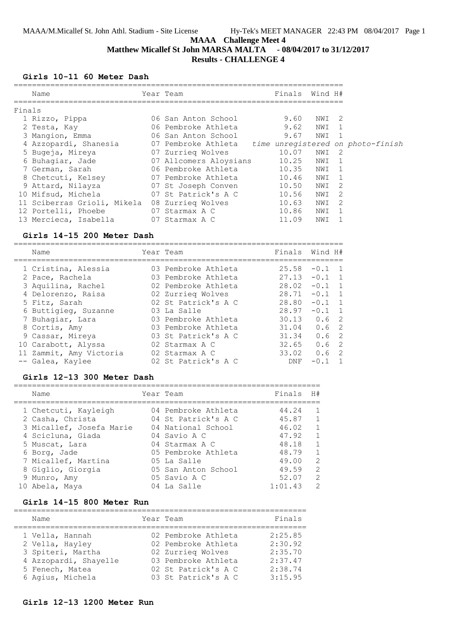# **Matthew Micallef St John MARSA MALTA - 08/04/2017 to 31/12/2017 Results - CHALLENGE 4**

### **Girls 10-11 60 Meter Dash**

| Name                        |    | Year Team                                             | Finals | Wind H# |                |  |
|-----------------------------|----|-------------------------------------------------------|--------|---------|----------------|--|
| Finals                      |    |                                                       |        |         |                |  |
| 1 Rizzo, Pippa              |    | 06 San Anton School                                   | 9.60   | NWI 2   |                |  |
| 2 Testa, Kay                |    | 06 Pembroke Athleta                                   | 9.62   | NWI     |                |  |
| 3 Mangion, Emma             |    | 06 San Anton School                                   | 9.67   | NWI     |                |  |
| 4 Azzopardi, Shanesia       |    | 07 Pembroke Athleta time unregistered on photo-finish |        |         |                |  |
| 5 Bugeja, Mireya            |    | 07 Zurrieg Wolves                                     | 10.07  | NWI     | -2             |  |
| 6 Buhaqiar, Jade            |    | 07 Allcomers Aloysians                                | 10.25  | NWI     | $\overline{1}$ |  |
| 7 German, Sarah             |    | 06 Pembroke Athleta                                   | 10.35  | NWI     | 1              |  |
| 8 Chetcuti, Kelsey          |    | 07 Pembroke Athleta                                   | 10.46  | NWI     | $\overline{1}$ |  |
| 9 Attard, Nilayza           |    | 07 St Joseph Conven                                   | 10.50  | NWI     | 2              |  |
| 10 Mifsud, Michela          |    | 07 St Patrick's A C                                   | 10.56  | NWI     | 2              |  |
| 11 Sciberras Grioli, Mikela |    | 08 Zurrieq Wolves                                     | 10.63  | NWI     | 2              |  |
| 12 Portelli, Phoebe         | 07 | Starmax A C                                           | 10.86  | NWI     | $\mathbf{1}$   |  |
| 13 Mercieca, Isabella       |    | 07 Starmax A C                                        | 11.09  | NWI     |                |  |

### **Girls 14-15 200 Meter Dash**

| Name                    | Year Team           | Finals Wind H#  |          |                |
|-------------------------|---------------------|-----------------|----------|----------------|
| 1 Cristina, Alessia     | 03 Pembroke Athleta | 25.58           | $-0.1$   | $\overline{1}$ |
| 2 Pace, Rachela         | 03 Pembroke Athleta | $27.13 - 0.1$ 1 |          |                |
| 3 Aquilina, Rachel      | 02 Pembroke Athleta | 28.02           | $-0.1$   | $\overline{1}$ |
| 4 Delorenzo, Raisa      | 02 Zurrieg Wolves   | 28.71           | $-0.1$ 1 |                |
| 5 Fitz, Sarah           | 02 St Patrick's A C | 28.80           | $-0.1$   | $\overline{1}$ |
| 6 Buttigieg, Suzanne    | 03 La Salle         | 28.97           | $-0.1$ 1 |                |
| 7 Buhaqiar, Lara        | 03 Pembroke Athleta | 30.13           | 0.6      | -2             |
| 8 Cortis, Amy           | 03 Pembroke Athleta | 31.04           | 0.6      | -2             |
| 9 Cassar, Mireya        | 03 St Patrick's A C | 31.34           | 0.6      | -2             |
| 10 Carabott, Alyssa     | 02 Starmax A C      | 32.65           | 0.6      | -2             |
| 11 Zammit, Amy Victoria | 02 Starmax A C      | 33.02           | 0.6      | -2             |
| -- Galea, Kaylee        | 02 St Patrick's A C | DNF             | $-0.1$   |                |

#### **Girls 12-13 300 Meter Dash**

| Name                     | Year Team           | Finals  | H#             |
|--------------------------|---------------------|---------|----------------|
| 1 Chetcuti, Kayleigh     | 04 Pembroke Athleta | 44.24   |                |
| 2 Casha, Christa         | 04 St Patrick's A C | 45.87   | $\mathbf{1}$   |
| 3 Micallef, Josefa Marie | 04 National School  | 46.02   | $\overline{1}$ |
| 4 Scicluna, Giada        | 04 Savio A C        | 47.92   | $\mathbf{1}$   |
| 5 Muscat, Lara           | 04 Starmax A C      | 48.18   | $\overline{1}$ |
| 6 Borg, Jade             | 05 Pembroke Athleta | 48.79   | $\mathbf{1}$   |
| 7 Micallef, Martina      | 05 La Salle         | 49.00   | $\mathcal{L}$  |
| 8 Giglio, Giorgia        | 05 San Anton School | 49.59   | $\mathcal{L}$  |
| 9 Munro, Amy             | 05 Savio A C        | 52.07   | $\mathcal{L}$  |
| 10 Abela, Maya           | 04 La Salle         | 1:01.43 | $\mathcal{P}$  |

#### **Girls 14-15 800 Meter Run**

| Name                  | Year Team           | Finals  |
|-----------------------|---------------------|---------|
| 1 Vella, Hannah       | 02 Pembroke Athleta | 2:25.85 |
| 2 Vella, Hayley       | 02 Pembroke Athleta | 2:30.92 |
| 3 Spiteri, Martha     | 02 Zurrieg Wolves   | 2:35.70 |
| 4 Azzopardi, Shayelle | 03 Pembroke Athleta | 2:37.47 |
| 5 Fenech, Matea       | 02 St Patrick's A C | 2:38.74 |
| 6 Agius, Michela      | 03 St Patrick's A C | 3:15.95 |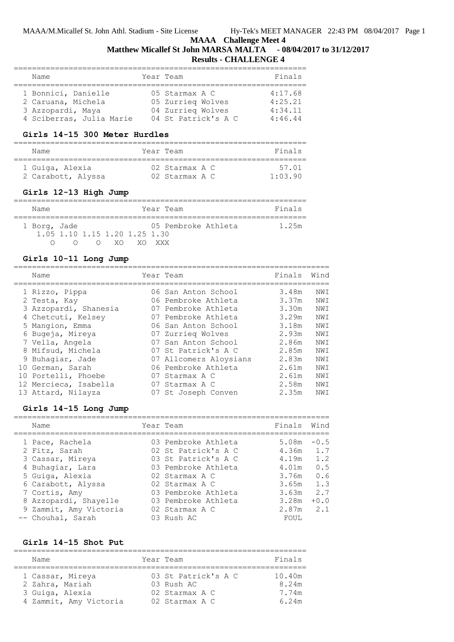# **Matthew Micallef St John MARSA MALTA - 08/04/2017 to 31/12/2017**

=====================================================================

# **Results - CHALLENGE 4**

| Name                                                                                       | Year Team                                                                       | Finals                                   |
|--------------------------------------------------------------------------------------------|---------------------------------------------------------------------------------|------------------------------------------|
| 1 Bonnici, Danielle<br>2 Caruana, Michela<br>3 Azzopardi, Maya<br>4 Sciberras, Julia Marie | 05 Starmax A C<br>05 Zurrieg Wolves<br>04 Zurrieg Wolves<br>04 St Patrick's A C | 4:17.68<br>4:25.21<br>4:34.11<br>4:46.44 |

#### **Girls 14-15 300 Meter Hurdles**

| Name               | Year Team      | Finals  |
|--------------------|----------------|---------|
| 1 Guiga, Alexia    | 02 Starmax A C | 57 01   |
| 2 Carabott, Alyssa | 02 Starmax A C | 1.03.90 |

## **Girls 12-13 High Jump**

 $=$ 

| Name         |                               |            |     | Year Team           | Finals |
|--------------|-------------------------------|------------|-----|---------------------|--------|
| 1 Borg, Jade |                               |            |     | 05 Pembroke Athleta | 1.25m  |
|              | 1.05 1.10 1.15 1.20 1.25 1.30 |            |     |                     |        |
|              |                               | $\bigcirc$ | XO. | XO XXX              |        |

# **Girls 10-11 Long Jump**

| Name                  | Year Team              | Finals | Wind |
|-----------------------|------------------------|--------|------|
| 1 Rizzo, Pippa        | 06 San Anton School    | 3.48m  | NWI  |
| 2 Testa, Kay          | 06 Pembroke Athleta    | 3.37m  | NWI  |
| 3 Azzopardi, Shanesia | 07 Pembroke Athleta    | 3.30m  | NWI  |
| 4 Chetcuti, Kelsey    | 07 Pembroke Athleta    | 3.29m  | NWI  |
| 5 Mangion, Emma       | 06 San Anton School    | 3.18m  | NWI  |
| 6 Bugeja, Mireya      | 07 Zurrieg Wolves      | 2.93m  | NWI  |
| 7 Vella, Angela       | 07 San Anton School    | 2.86m  | NWI  |
| 8 Mifsud, Michela     | 07 St Patrick's A C    | 2.85m  | NWI  |
| 9 Buhaqiar, Jade      | 07 Allcomers Aloysians | 2.83m  | NWI  |
| 10 German, Sarah      | 06 Pembroke Athleta    | 2.61m  | NWI  |
| 10 Portelli, Phoebe   | 07 Starmax A C         | 2.61m  | NWI  |
| 12 Mercieca, Isabella | 07 Starmax A C         | 2.58m  | NWI  |
| 13 Attard, Nilayza    | 07 St Joseph Conven    | 2.35m  | NWI  |

## **Girls 14-15 Long Jump**

| Name                   | Year Team           | Finals      | Wind   |
|------------------------|---------------------|-------------|--------|
| 1 Pace, Rachela        | 03 Pembroke Athleta | 5.08m       | $-0.5$ |
| 2 Fitz, Sarah          | 02 St Patrick's A C | $4.36m$ 1.7 |        |
| 3 Cassar, Mireya       | 03 St Patrick's A C | 4.19m       | 1.2    |
| 4 Buhaqiar, Lara       | 03 Pembroke Athleta | 4.01m       | 0.5    |
| 5 Guiga, Alexia        | 02 Starmax A C      | 3.76m       | 0.6    |
| 6 Carabott, Alyssa     | 02 Starmax A C      | 3.65m       | 1.3    |
| 7 Cortis, Amy          | 03 Pembroke Athleta | 3.63m       | 2.7    |
| 8 Azzopardi, Shayelle  | 03 Pembroke Athleta | 3.28m       | $+0.0$ |
| 9 Zammit, Amy Victoria | 02 Starmax A C      | 2.87m       | 2.1    |
| -- Chouhal, Sarah      | 03 Rush AC          | FOUL        |        |

#### **Girls 14-15 Shot Put**

| Name                   | Year Team           | Finals |
|------------------------|---------------------|--------|
|                        |                     |        |
| 1 Cassar, Mireya       | 03 St Patrick's A C | 10.40m |
| 2 Zahra, Mariah        | 03 Rush AC          | 8.24m  |
| 3 Guiga, Alexia        | 02 Starmax A C      | 7 74m  |
| 4 Zammit, Amy Victoria | 02 Starmax A C      | 6.24m  |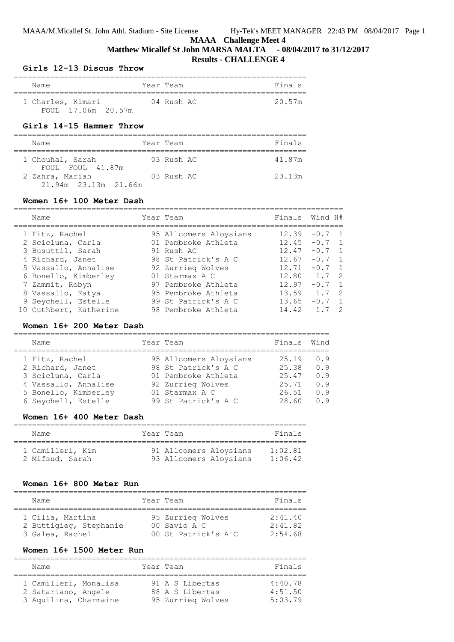## **Matthew Micallef St John MARSA MALTA - 08/04/2017 to 31/12/2017 Results - CHALLENGE 4**

#### **Girls 12-13 Discus Throw**

| Name               | Year Team  | Finals |
|--------------------|------------|--------|
| 1 Charles, Kimari  | 04 Rush AC | 20.57m |
| FOUL 17.06m 20.57m |            |        |

# **Girls 14-15 Hammer Throw**

| Name                                    | Year Team  | Finals |
|-----------------------------------------|------------|--------|
| 1 Chouhal, Sarah<br>FOUL FOUL 41.87m    | 03 Rush AC | 41.87m |
| 2 Zahra, Mariah<br>21.94m 23.13m 21.66m | 03 Rush AC | 23.13m |

#### **Women 16+ 100 Meter Dash**

| Name                   | Year Team              | Finals Wind H#  |          |                |
|------------------------|------------------------|-----------------|----------|----------------|
| 1 Fitz, Rachel         | 95 Allcomers Aloysians | 12.39           | $-0.7$ 1 |                |
| 2 Scicluna, Carla      | 01 Pembroke Athleta    | 12.45           | $-0.7$ 1 |                |
| 3 Busuttil, Sarah      | 91 Rush AC             | 12.47           | $-0.7$ 1 |                |
| 4 Richard, Janet       | 98 St Patrick's A C    | 12.67           | $-0.7$ 1 |                |
| 5 Vassallo, Annalise   | 92 Zurrieg Wolves      | 12.71           | $-0.7$ 1 |                |
| 6 Bonello, Kimberley   | 01 Starmax A C         | $12.80$ $1.7$ 2 |          |                |
| 7 Zammit, Robyn        | 97 Pembroke Athleta    | 12 97           | $-0.7$   | $\overline{1}$ |
| 8 Vassallo, Katya      | 95 Pembroke Athleta    | 13.59           | 1.7      | $\overline{2}$ |
| 9 Seychell, Estelle    | 99 St Patrick's A C    | 13.65           | $-0.7$   | $\overline{1}$ |
| 10 Cuthbert, Katherine | 98 Pembroke Athleta    | 14.42           |          | -2             |

## **Women 16+ 200 Meter Dash**

| Name                 | Year Team              | Finals | Wind |
|----------------------|------------------------|--------|------|
| 1 Fitz, Rachel       | 95 Allcomers Aloysians | 25.19  | 0.9  |
| 2 Richard, Janet     | 98 St Patrick's A C    | 25.38  | 0.9  |
| 3 Scicluna, Carla    | 01 Pembroke Athleta    | 25.47  | 0.9  |
| 4 Vassallo, Annalise | 92 Zurrieg Wolves      | 25.71  | 0.9  |
| 5 Bonello, Kimberley | 01 Starmax A C         | 26.51  | 0.9  |
| 6 Seychell, Estelle  | 99 St Patrick's A C    | 28.60  | 0.9  |
|                      |                        |        |      |

## **Women 16+ 400 Meter Dash**

| Name                                | Year Team                                        | Finals                     |
|-------------------------------------|--------------------------------------------------|----------------------------|
| 1 Camilleri, Kim<br>2 Mifsud, Sarah | 91 Allcomers Aloysians<br>93 Allcomers Aloysians | $1 \cdot 02$ 81<br>1:06.42 |

#### **Women 16+ 800 Meter Run**

| Name                                       | Year Team                         | Finals             |
|--------------------------------------------|-----------------------------------|--------------------|
| 1 Cilia, Martina<br>2 Buttigieg, Stephanie | 95 Zurrieg Wolves<br>00 Savio A C | 2:41.40<br>2:41.82 |
| 3 Galea, Rachel                            | 00 St Patrick's A C               | 2:54.68            |

#### **Women 16+ 1500 Meter Run**

| Name                                                                  | Year Team                                               | Finals                        |
|-----------------------------------------------------------------------|---------------------------------------------------------|-------------------------------|
| 1 Camilleri, Monalisa<br>2 Satariano, Angele<br>3 Aquilina, Charmaine | 91 A S Libertas<br>88 A S Libertas<br>95 Zurrieg Wolves | 4:40.78<br>4:51.50<br>5:03.79 |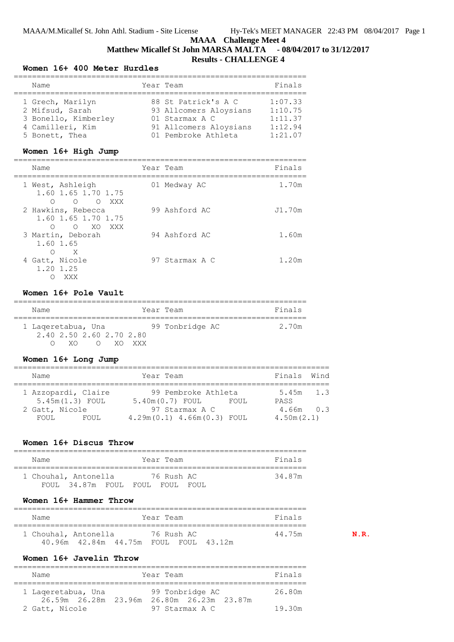# **MAAA Challenge Meet 4 Matthew Micallef St John MARSA MALTA - 08/04/2017 to 31/12/2017 Results - CHALLENGE 4**

#### **Women 16+ 400 Meter Hurdles**

| Name                 | Year Team              | Finals  |
|----------------------|------------------------|---------|
| 1 Grech, Marilyn     | 88 St Patrick's A C    | 1:07.33 |
| 2 Mifsud, Sarah      | 93 Allcomers Aloysians | 1:10.75 |
| 3 Bonello, Kimberley | 01 Starmax A C         | 1:11.37 |
| 4 Camilleri, Kim     | 91 Allcomers Aloysians | 1:12.94 |
| 5 Bonett, Thea       | 01 Pembroke Athleta    | 1:21.07 |

#### **Women 16+ High Jump**

| Name                                                                        | Year Team      | Finals |
|-----------------------------------------------------------------------------|----------------|--------|
| 1 West, Ashleigh<br>1.60 1.65 1.70 1.75<br>O O XXX<br>∩                     | 01 Medway AC   | 1.70m  |
| 2 Hawkins, Rebecca<br>1.60 1.65 1.70 1.75<br>XO<br>$\bigcirc$<br>XXX X<br>∩ | 99 Ashford AC  | J1.70m |
| 3 Martin, Deborah<br>1.60 1.65<br>X<br>∩                                    | 94 Ashford AC  | 1.60m  |
| 4 Gatt, Nicole<br>1.20 1.25<br>XXX                                          | 97 Starmax A C | 1.20m  |

#### **Women 16+ Pole Vault**

| Name                                                        |        | Year Team       | Finals |
|-------------------------------------------------------------|--------|-----------------|--------|
| 1 Lageretabua, Una<br>2.40 2.50 2.60 2.70 2.80<br>YΛ<br>( ) | XO XXX | 99 Tonbridge AC | 2.70m  |

#### **Women 16+ Long Jump**

| Name                                     |       | Year Team         |                                                  |      | Finals Wind                 |  |
|------------------------------------------|-------|-------------------|--------------------------------------------------|------|-----------------------------|--|
| 1 Azzopardi, Claire<br>$5.45m(1.3)$ FOUL |       | $5.40m(0.7)$ FOUL | 99 Pembroke Athleta                              | FOUL | $5.45m$ 1.3<br>PASS         |  |
| 2 Gatt, Nicole<br>FOUL.                  | FOUL. |                   | 97 Starmax A C<br>$4.29m(0.1)$ $4.66m(0.3)$ FOUL |      | $4.66m$ $0.3$<br>4.50m(2.1) |  |

#### **Women 16+ Discus Throw**

| Name |                            |  |  | Year Team  |       | Finals |
|------|----------------------------|--|--|------------|-------|--------|
|      | 1 Chouhal, Antonella       |  |  | 76 Rush AC |       | 34 87m |
|      | FOUL 34.87m FOUL FOUL FOUL |  |  |            | FOUL. |        |

#### **Women 16+ Hammer Throw**

| Name                 |                                       |  | Year Team  |  |  | Finals |     |  |  |  |
|----------------------|---------------------------------------|--|------------|--|--|--------|-----|--|--|--|
| 1 Chouhal, Antonella |                                       |  | 76 Rush AC |  |  | 44.75m | N R |  |  |  |
|                      | 40.96m 42.84m 44.75m FOUL FOUL 43.12m |  |            |  |  |        |     |  |  |  |

**Women 16+ Javelin Throw**

================================================================ Name **Name** Year Team **Finals** ================================================================ 1 Laqeretabua, Una 99 Tonbridge AC 26.80m 26.59m 26.28m 23.96m 26.80m 26.23m 23.87m 2 Gatt, Nicole 97 Starmax A C 19.30m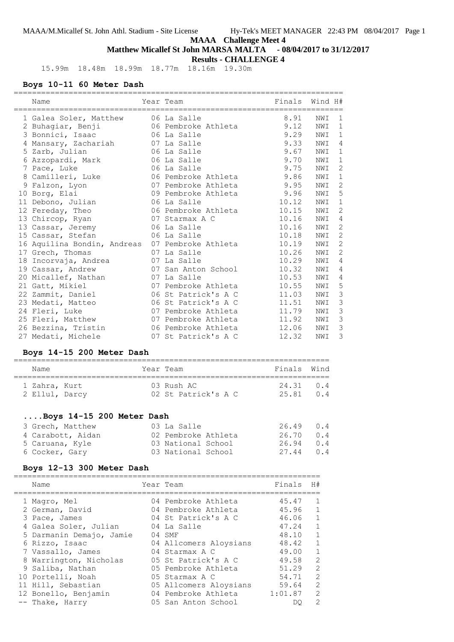# **Matthew Micallef St John MARSA MALTA - 08/04/2017 to 31/12/2017**

**Results - CHALLENGE 4**

15.99m 18.48m 18.99m 18.77m 18.16m 19.30m

# **Boys 10-11 60 Meter Dash**

| Name                                            | Year Team                | Finals Wind H# |     |                |
|-------------------------------------------------|--------------------------|----------------|-----|----------------|
|                                                 |                          |                |     |                |
| 1 Galea Soler, Matthew                          | 06 La Salle              | 8.91           | NWI | 1              |
| 2 Buhagiar, Benji                               | 06 Pembroke Athleta      | 9.12           | NWI | $\sqrt{1}$     |
| 3 Bonnici, Isaac                                | 06 La Salle              | 9.29           | NWI | $\mathbf 1$    |
| 4 Mansary, Zachariah                            | 07 La Salle              | 9.33           | NWI | 4              |
| 5 Zarb, Julian                                  | 06 La Salle              | 9.67           | NWI | $\mathbf{1}$   |
| 6 Azzopardi, Mark                               | 06 La Salle              | 9.70           | NWI | $\mathbf{1}$   |
| 7 Pace, Luke                                    | 06 La Salle              | 9.75           | NWI | $\sqrt{2}$     |
| 8 Camilleri, Luke                               | 06 Pembroke Athleta      | 9.86           | NWI | $1\,$          |
| 9 Falzon, Lyon                                  | 07 Pembroke Athleta      | 9.95           | NWI | $\mathbf{2}$   |
| 10 Borg, Elai                                   | 09 Pembroke Athleta 9.96 |                | NWI | 5              |
| 11 Debono, Julian                               | 06 La Salle              | 10.12          | NWI | $\mathbf{1}$   |
| 12 Fereday, Theo                                | 06 Pembroke Athleta      | 10.15          | NWI | $\sqrt{2}$     |
| 13 Chircop, Ryan                                | 07 Starmax A C           | 10.16          | NWI | $\overline{4}$ |
| 13 Cassar, Jeremy                               | 06 La Salle              | 10.16          | NWI | 2              |
| 15 Cassar, Stefan                               | 06 La Salle              | 10.18          | NWI | $\overline{c}$ |
| 16 Aquilina Bondin, Andreas 07 Pembroke Athleta |                          | 10.19          | NWI | $\mathbf{2}$   |
| 17 Grech, Thomas                                | 07 La Salle              | 10.26          | NWI | $\mathbf{2}$   |
| 18 Incorvaja, Andrea                            | 07 La Salle              | 10.29          | NWI | 4              |
| 19 Cassar, Andrew                               | 07 San Anton School      | 10.32          | NWI | 4              |
| 20 Micallef, Nathan                             | 07 La Salle              | 10.53          | NWI | 4              |
| 21 Gatt, Mikiel                                 | 07 Pembroke Athleta      | 10.55          | NWI | 5              |
| 22 Zammit, Daniel                               | 06 St Patrick's A C      | 11.03          | NWI | $\mathcal{S}$  |
| 23 Medati, Matteo                               | 06 St Patrick's A C      | 11.51          | NWI | $\mathcal{S}$  |
| 24 Fleri, Luke                                  | 07 Pembroke Athleta      | 11.79          | NWI | 3              |
| 25 Fleri, Matthew                               | 07 Pembroke Athleta      | 11.92          | NWI | 3              |
| 26 Bezzina, Tristin                             | 06 Pembroke Athleta      | 12.06          | NWI | 3              |
| 27 Medati, Michele                              | 07 St Patrick's A C      | 12.32          | NWI | $\mathcal{S}$  |

## **Boys 14-15 200 Meter Dash**

| Name                            |  | Year Team                              | Finals Wind            |  |
|---------------------------------|--|----------------------------------------|------------------------|--|
| 1 Zahra, Kurt<br>2 Ellul, Darcy |  | $0.3$ Rush $AC$<br>02 St Patrick's A C | 24.31 0.4<br>25.81 0.4 |  |

## **....Boys 14-15 200 Meter Dash**

| 3 Grech, Matthew  | 03 La Salle         | $26.49$ 0.4 |  |
|-------------------|---------------------|-------------|--|
| 4 Carabott, Aidan | 02 Pembroke Athleta | 26.70 0.4   |  |
| 5 Caruana, Kyle   | 03 National School  | $26.94$ 0.4 |  |
| 6 Cocker, Gary    | 03 National School  | 27.44 0.4   |  |

# **Boys 12-13 300 Meter Dash**

| Name                     | Year Team              | Finals  | H#             |
|--------------------------|------------------------|---------|----------------|
| 1 Magro, Mel             | 04 Pembroke Athleta    | 45.47   | 1              |
| 2 German, David          | 04 Pembroke Athleta    | 45.96   | 1              |
| 3 Pace, James            | 04 St Patrick's A C    | 46.06   | $\mathbf{1}$   |
| 4 Galea Soler, Julian    | 04 La Salle            | 47.24   | 1              |
| 5 Darmanin Demajo, Jamie | $04$ SMF               | 48.10   | $\mathbf{1}$   |
| 6 Rizzo, Isaac           | 04 Allcomers Aloysians | 48.42   | $\mathbf{1}$   |
| 7 Vassallo, James        | 04 Starmax A C         | 49.00   | $\mathbf{1}$   |
| 8 Warrington, Nicholas   | 05 St Patrick's A C    | 49.58   | $\overline{c}$ |
| 9 Saliba, Nathan         | 05 Pembroke Athleta    | 51.29   | $\overline{c}$ |
| 10 Portelli, Noah        | 05 Starmax A C         | 54.71   | $\overline{2}$ |
| 11 Hill, Sebastian       | 05 Allcomers Aloysians | 59.64   | $\overline{c}$ |
| 12 Bonello, Benjamin     | 04 Pembroke Athleta    | 1:01.87 | 2              |
| -- Thake, Harry          | 05 San Anton School    | DO      | $\overline{2}$ |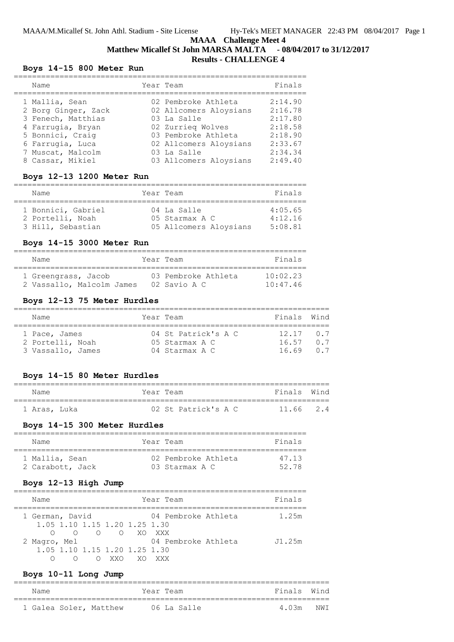# **Matthew Micallef St John MARSA MALTA - 08/04/2017 to 31/12/2017 Results - CHALLENGE 4**

## **Boys 14-15 800 Meter Run**

| Name                | Year Team              | Finals             |
|---------------------|------------------------|--------------------|
| 1 Mallia, Sean      | 02 Pembroke Athleta    | 2:14.90<br>2:16.78 |
| 2 Borg Ginger, Zack | 02 Allcomers Aloysians |                    |
| 3 Fenech, Matthias  | 03 La Salle            | 2:17.80            |
| 4 Farrugia, Bryan   | 02 Zurrieg Wolves      | 2:18.58            |
| 5 Bonnici, Craig    | 03 Pembroke Athleta    | 2:18.90            |
| 6 Farrugia, Luca    | 02 Allcomers Aloysians | 2:33.67            |
| 7 Muscat, Malcolm   | 03 La Salle            | 2:34.34            |
| 8 Cassar, Mikiel    | 03 Allcomers Aloysians | 2:49.40            |

## **Boys 12-13 1200 Meter Run**

| Name                                   | Year Team                     | Finals             |
|----------------------------------------|-------------------------------|--------------------|
| 1 Bonnici, Gabriel<br>2 Portelli, Noah | 04 La Salle<br>05 Starmax A C | 4:05.65<br>4:12.16 |
| 3 Hill, Sebastian                      | 05 Allcomers Aloysians        | 5:08.81            |

## **Boys 14-15 3000 Meter Run**

| Name                      | Year Team           | Finals   |
|---------------------------|---------------------|----------|
|                           |                     |          |
| 1 Greengrass, Jacob       | 03 Pembroke Athleta | 10.02.23 |
| 2 Vassallo, Malcolm James | 02 Savio A C        | 10:47.46 |

## **Boys 12-13 75 Meter Hurdles**

| Name                                                   | Year Team                                               | Finals Wind                     |            |
|--------------------------------------------------------|---------------------------------------------------------|---------------------------------|------------|
| 1 Pace, James<br>2 Portelli, Noah<br>3 Vassallo, James | 04 St Patrick's A C<br>05 Starmax A C<br>04 Starmax A C | $12 \t17 \t07$<br>16 57<br>1669 | 0 7<br>n 7 |

## **Boys 14-15 80 Meter Hurdles**

| Name         | Year Team |                     |  | Finals Wind |  |
|--------------|-----------|---------------------|--|-------------|--|
|              |           |                     |  |             |  |
| 1 Aras, Luka |           | 02 St Patrick's A C |  | $11.66$ 2.4 |  |

#### **Boys 14-15 300 Meter Hurdles**

| Name             | Year Team           | Finals |
|------------------|---------------------|--------|
| 1 Mallia, Sean   | 02 Pembroke Athleta | 47 13  |
| 2 Carabott, Jack | 03 Starmax A C      | 52 78  |

## **Boys 12-13 High Jump**

| Name                          |                                        |     | Year Team           | Finals |
|-------------------------------|----------------------------------------|-----|---------------------|--------|
| 1 German, David               |                                        |     | 04 Pembroke Athleta | 1.25m  |
| 1.05 1.10 1.15 1.20 1.25 1.30 |                                        |     |                     |        |
| ∩                             | $\circ$ $\circ$ $\circ$ $\circ$ xo xxx |     |                     |        |
| 2 Magro, Mel                  |                                        |     | 04 Pembroke Athleta | J1.25m |
| 1.05 1.10 1.15 1.20 1.25 1.30 |                                        |     |                     |        |
|                               |                                        | XX∪ |                     |        |

## **Boys 10-11 Long Jump**

| Name |                        | Year Team |             |  | Finals Wind |  |
|------|------------------------|-----------|-------------|--|-------------|--|
|      | 1 Galea Soler, Matthew |           | 06 La Salle |  | 4 0.3m NWT  |  |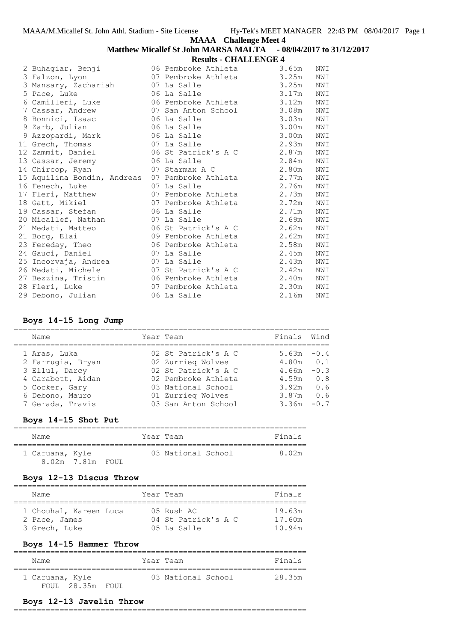## **Matthew Micallef St John MARSA MALTA - 08/04/2017 to 31/12/2017 Results - CHALLENGE 4**

|                             | <i>Robaro</i> Chinesenton P |       |     |
|-----------------------------|-----------------------------|-------|-----|
| 2 Buhagiar, Benji           | 06 Pembroke Athleta 3.65m   |       | NWI |
| 3 Falzon, Lyon              | 07 Pembroke Athleta 3.25m   |       | NWI |
| 3 Mansary, Zachariah        | 07 La Salle                 | 3.25m | NWI |
| 5 Pace, Luke                | 06 La Salle                 | 3.17m | NWI |
| 6 Camilleri, Luke           | 06 Pembroke Athleta         | 3.12m | NWI |
| 7 Cassar, Andrew            | 07 San Anton School 3.08m   |       | NWI |
| 8 Bonnici, Isaac            | 06 La Salle                 | 3.03m | NWI |
| 9 Zarb, Julian              | 06 La Salle                 | 3.00m | NWI |
| 9 Azzopardi, Mark           | 06 La Salle                 | 3.00m | NWI |
| 11 Grech, Thomas            | 07 La Salle                 | 2.93m | NWI |
| 12 Zammit, Daniel           | 06 St Patrick's A C         | 2.87m | NWI |
| 13 Cassar, Jeremy           | 06 La Salle                 | 2.84m | NWI |
| 14 Chircop, Ryan            | 07 Starmax A C              | 2.80m | NWI |
| 15 Aquilina Bondin, Andreas | 07 Pembroke Athleta         | 2.77m | NWI |
| 16 Fenech, Luke             | 07 La Salle                 | 2.76m | NWI |
| 17 Fleri, Matthew           | 07 Pembroke Athleta         | 2.73m | NWI |
| 18 Gatt, Mikiel             | 07 Pembroke Athleta         | 2.72m | NWI |
| 19 Cassar, Stefan           | 06 La Salle                 | 2.71m | NWI |
| 20 Micallef, Nathan         | 07 La Salle                 | 2.69m | NWI |
| 21 Medati, Matteo           | 06 St Patrick's A C         | 2.62m | NWI |
| 21 Borg, Elai               | 09 Pembroke Athleta         | 2.62m | NWI |
| 23 Fereday, Theo            | 06 Pembroke Athleta         | 2.58m | NWI |
| 24 Gauci, Daniel            | 07 La Salle                 | 2.45m | NWI |
| 25 Incorvaja, Andrea        | 07 La Salle                 | 2.43m | NWI |
| 26 Medati, Michele          | 07 St Patrick's A C         | 2.42m | NWI |
| 27 Bezzina, Tristin         | 06 Pembroke Athleta         | 2.40m | NWI |
| 28 Fleri, Luke              | 07 Pembroke Athleta         | 2.30m | NWI |
| 29 Debono, Julian           | 06 La Salle                 | 2.16m | NWI |

## **Boys 14-15 Long Jump**

| Name              | Year Team           | Finals Wind   |        |
|-------------------|---------------------|---------------|--------|
| 1 Aras, Luka      | 02 St Patrick's A C | $5.63m - 0.4$ |        |
| 2 Farrugia, Bryan | 02 Zurrieg Wolves   | $4.80m$ $0.1$ |        |
| 3 Ellul, Darcy    | 02 St Patrick's A C | 4.66m         | $-0.3$ |
| 4 Carabott, Aidan | 02 Pembroke Athleta | 4.59m         | 0.8    |
| 5 Cocker, Gary    | 03 National School  | 3.92m         | 0.6    |
| 6 Debono, Mauro   | 01 Zurrieg Wolves   | 3.87m         | 0.6    |
| 7 Gerada, Travis  | 03 San Anton School | 3.36m         | $-0.7$ |

## **Boys 14-15 Shot Put**

| Name            |                  |  | Year Team          | Finals |
|-----------------|------------------|--|--------------------|--------|
| 1 Caruana, Kyle | 8.02m 7.81m FOUL |  | 03 National School | 8.02m  |

# **Boys 12-13 Discus Throw**

| Name                   | Year Team           | Finals |
|------------------------|---------------------|--------|
| 1 Chouhal, Kareem Luca | $0.5$ Rush $AC$     | 19.63m |
| 2 Pace, James          | 04 St Patrick's A C | 17.60m |
| 3 Grech, Luke          | 05 La Salle         | 10.94m |

## **Boys 14-15 Hammer Throw**

| Name            |       | Year Team          | Finals |
|-----------------|-------|--------------------|--------|
| 1 Caruana, Kyle |       | 03 National School | 28.35m |
| FOUL 28.35m     | FOUL. |                    |        |

#### **Boys 12-13 Javelin Throw**

================================================================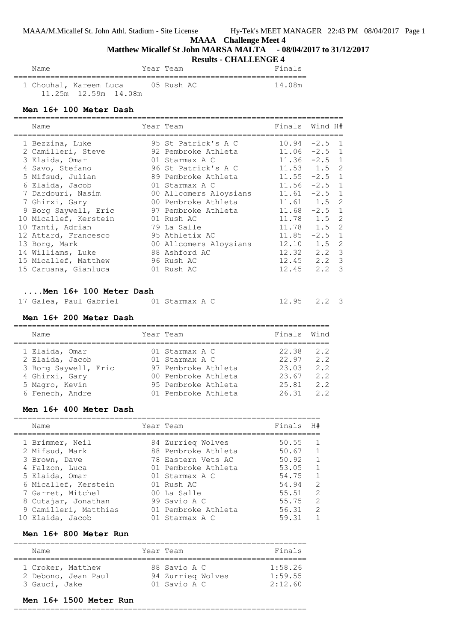# **Matthew Micallef St John MARSA MALTA - 08/04/2017 to 31/12/2017**

# **Results - CHALLENGE 4**

| Name |                        | Year Team  | Finals  |
|------|------------------------|------------|---------|
|      | 1 Chouhal, Kareem Luca | 05 Rush AC | 14 O.8m |

#### **Men 16+ 100 Meter Dash**

| Name                                                                                                                                                                                                                                                                                                                                                                                                                     | Year Team                                                                                                                                                                                                                                                                                                             | Finals Wind H#                                                                                                                                                                              |                                                                                |                                                                |
|--------------------------------------------------------------------------------------------------------------------------------------------------------------------------------------------------------------------------------------------------------------------------------------------------------------------------------------------------------------------------------------------------------------------------|-----------------------------------------------------------------------------------------------------------------------------------------------------------------------------------------------------------------------------------------------------------------------------------------------------------------------|---------------------------------------------------------------------------------------------------------------------------------------------------------------------------------------------|--------------------------------------------------------------------------------|----------------------------------------------------------------|
| -----------------------------------<br>1 Bezzina, Luke<br>2 Camilleri, Steve<br>3 Elaida, Omar<br>4 Savo, Stefano<br>5 Mifsud, Julian<br>6 Elaida, Jacob<br>7 Dardouri, Nasim (00 Allcomers Aloysians<br>7 Ghirxi, Gary<br>9 Borg Saywell, Eric<br>10 Micallef, Kerstein<br>10 Tanti, Adrian<br>12 Attard, Francesco<br>13 Borg, Mark<br>14 Williams, Luke 88 Ashford AC<br>15 Micallef, Matthew<br>15 Caruana, Gianluca | ----------------------------------<br>95 St Patrick's A C<br>92 Pembroke Athleta<br>01 Starmax A C<br>96 St Patrick's A C<br>89 Pembroke Athleta<br>01 Starmax A C<br>00 Pembroke Athleta<br>97 Pembroke Athleta<br>01 Rush AC<br>79 La Salle<br>95 Athletix AC<br>00 Allcomers Aloysians<br>96 Rush AC<br>01 Rush AC | $10.94 -2.5$ 1<br>$11.06 -2.5 1$<br>$11.36 -2.5$ 1<br>$11.53$ $1.5$<br>$11.55 -2.5$ 1<br>$11.56 -2.5 1$<br>$11.61 -2.5$ 1<br>$11.61$ $1.5$<br>$11.68 - 2.5$ 1<br>11.78  1.5  2<br>12.10 1.5 | 11.78  1.5  2<br>$11.85 -2.5$<br>12.32 2.2 3<br>$12.45$ $2.2$<br>$12.45$ $2.2$ | 2<br>2<br>$\mathbf{1}$<br>2<br>$\mathfrak{Z}$<br>$\mathcal{S}$ |
| $\ldots$ Men $16+100$ Meter Dash<br>17 Galea, Paul Gabriel 01 Starmax A C<br>Men 16+ 200 Meter Dash<br>Name                                                                                                                                                                                                                                                                                                              | Year Team                                                                                                                                                                                                                                                                                                             | $12.95$ $2.2$ 3<br>Finals                                                                                                                                                                   | Wind                                                                           |                                                                |
| 1 Elaida, Omar<br>2 Elaida, Jacob                                                                                                                                                                                                                                                                                                                                                                                        | 01 Starmax A C<br>01 Starmax A C                                                                                                                                                                                                                                                                                      | 22.38 2.2<br>$22.97$ $2.2$                                                                                                                                                                  |                                                                                |                                                                |

| L Llatau, outob      | $0 + 0$ called 11 $\sigma$ | . <i>. .</i> | <u>.</u> |
|----------------------|----------------------------|--------------|----------|
| 3 Borg Saywell, Eric | 97 Pembroke Athleta        | 23.03        | 2.2      |
| 4 Ghirxi, Gary       | 00 Pembroke Athleta        | 23.67        | 2.2      |
| 5 Magro, Kevin       | 95 Pembroke Athleta        | 25.81        | 2.2      |
| 6 Fenech, Andre      | 01 Pembroke Athleta        | 26.31        | 2.2      |
|                      |                            |              |          |

#### **Men 16+ 400 Meter Dash**

| Name                  | Year Team           | Finals | H#             |
|-----------------------|---------------------|--------|----------------|
| 1 Brimmer, Neil       | 84 Zurrieg Wolves   | 50.55  |                |
| 2 Mifsud, Mark        | 88 Pembroke Athleta | 50.67  |                |
| 3 Brown, Dave         | 78 Eastern Vets AC  | 50.92  | $\overline{1}$ |
| 4 Falzon, Luca        | 01 Pembroke Athleta | 53.05  | $\overline{1}$ |
| 5 Elaida, Omar        | 01 Starmax A C      | 54.75  | $\mathbf{1}$   |
| 6 Micallef, Kerstein  | 01 Rush AC          | 54.94  | 2              |
| 7 Garret, Mitchel     | 00 La Salle         | 55.51  | $\mathcal{L}$  |
| 8 Cutajar, Jonathan   | 99 Savio A C        | 55.75  | $\mathcal{L}$  |
| 9 Camilleri, Matthias | 01 Pembroke Athleta | 56.31  | 2              |
| 10 Elaida, Jacob      | 01 Starmax A C      | 59.31  |                |

## **Men 16+ 800 Meter Run**

| Name                | Year Team         | Finals  |
|---------------------|-------------------|---------|
| 1 Croker, Matthew   | 88 Savio A C      | 1:58.26 |
| 2 Debono, Jean Paul | 94 Zurrieg Wolves | 1:59.55 |
| 3 Gauci, Jake       | 01 Savio A C      | 2:12.60 |

#### **Men 16+ 1500 Meter Run**

================================================================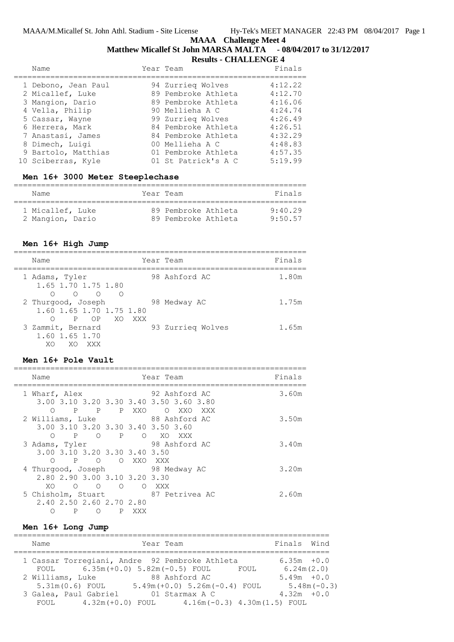# **Matthew Micallef St John MARSA MALTA - 08/04/2017 to 31/12/2017**

|                     | <b>Results - CHALLENGE 4</b> |         |  |
|---------------------|------------------------------|---------|--|
| Name                | Year Team                    | Finals  |  |
| 1 Debono, Jean Paul | 94 Zurrieg Wolves            | 4:12.22 |  |
| 2 Micallef, Luke    | 89 Pembroke Athleta          | 4:12.70 |  |
| 3 Mangion, Dario    | 89 Pembroke Athleta          | 4:16.06 |  |
| 4 Vella, Philip     | 90 Mellieha A C              | 4:24.74 |  |
| 5 Cassar, Wayne     | 99 Zurrieg Wolves            | 4:26.49 |  |
| 6 Herrera, Mark     | 84 Pembroke Athleta          | 4:26.51 |  |
| 7 Anastasi, James   | 84 Pembroke Athleta          | 4:32.29 |  |
| 8 Dimech, Luigi     | 00 Mellieha A C              | 4:48.83 |  |
| 9 Bartolo, Matthias | 01 Pembroke Athleta          | 4:57.35 |  |
| 10 Sciberras, Kyle  | 01 St Patrick's A C          | 5:19.99 |  |

# **Men 16+ 3000 Meter Steeplechase**

| Name             | Year Team           | Finals  |
|------------------|---------------------|---------|
| 1 Micallef, Luke | 89 Pembroke Athleta | 9.4029  |
| 2 Mangion, Dario | 89 Pembroke Athleta | 9.50 57 |

## **Men 16+ High Jump**

| Name                                                                           | Year Team |                   | Finals |
|--------------------------------------------------------------------------------|-----------|-------------------|--------|
| 1 Adams, Tyler<br>1.65 1.70 1.75 1.80<br>$\cap$ $\cap$<br>$\cap$<br>$\bigcirc$ |           | 98 Ashford AC     | 1.80m  |
| 2 Thurgood, Joseph<br>1.60 1.65 1.70 1.75 1.80<br>P OP XO XXX<br>∩             |           | 98 Medway AC      | 1.75m  |
| 3 Zammit, Bernard<br>1.60 1.65 1.70<br>XΟ<br>XO<br>- XXX                       |           | 93 Zurrieg Wolves | 1.65m  |

# **Men 16+ Pole Vault**

| Name                                                                                                                      | Year Team                                     | Finals |
|---------------------------------------------------------------------------------------------------------------------------|-----------------------------------------------|--------|
| 1 Wharf, Alex<br>3.00 3.10 3.20 3.30 3.40 3.50 3.60 3.80<br>P<br>$\mathbb{P}$<br>P XXO<br>∩                               | 92 Ashford AC<br>$\overline{O}$<br>XXO<br>XXX | 3.60m  |
| 2 Williams, Luke<br>3.00 3.10 3.20 3.30 3.40 3.50 3.60<br>POPOXOXXX<br>∩                                                  | 88 Ashford AC                                 | 3.50m  |
| 3 Adams, Tyler<br>3.00 3.10 3.20 3.30 3.40 3.50<br>POOXXOXXX<br>$\circ$                                                   | 98 Ashford AC                                 | 3.40m  |
| 4 Thurgood, Joseph 98 Medway AC<br>2,80 2,90 3,00 3,10 3,20 3,30<br>XO<br>$\circ$<br>$\bigcirc$<br>$\bigcirc$<br>$\Omega$ | XXX X                                         | 3.20m  |
| 5 Chisholm, Stuart<br>2.40 2.50 2.60 2.70 2.80<br>P<br>P<br>O<br>XXX                                                      | 87 Petrivea AC                                | 2.60m  |

## **Men 16+ Long Jump**

| Name                                                                                  | Year Team                                         | Finals Wind                                      |  |
|---------------------------------------------------------------------------------------|---------------------------------------------------|--------------------------------------------------|--|
| 1 Cassar Torregiani, Andre 92 Pembroke Athleta<br>FOUL 6.35m (+0.0) 5.82m (-0.5) FOUL |                                                   | $6.35m + 0.0$<br>6.24m(2.0)<br>FOUL              |  |
| 2 Williams, Luke<br>5.31m(0.6) FOUL                                                   | 88 Ashford AC<br>$5.49m (+0.0) 5.26m (-0.4) F0UL$ | $5.49m + 0.0$<br>$5.48m(-0.3)$                   |  |
| 3 Galea, Paul Gabriel<br>$4.32m (+0.0)$ FOUL<br>FOUL                                  | 01 Starmax A C                                    | $4.32m + 0.0$<br>$4.16m(-0.3)$ $4.30m(1.5)$ FOUL |  |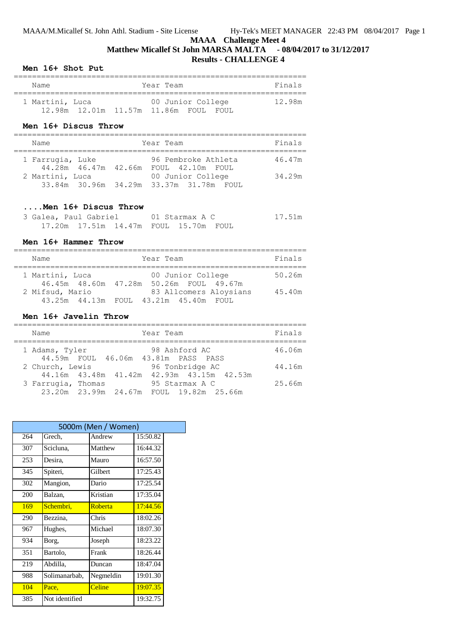# **Matthew Micallef St John MARSA MALTA - 08/04/2017 to 31/12/2017 Results - CHALLENGE 4**

#### **Men 16+ Shot Put**

| Name            |  | Year Team                                                       | Finals |
|-----------------|--|-----------------------------------------------------------------|--------|
| 1 Martini, Luca |  | 00 Junior College<br>12.98m  12.01m  11.57m  11.86m  FOUL  FOUL | 12.98m |

#### **Men 16+ Discus Throw**

| Name                                       | Year Team                                                    | Finals |
|--------------------------------------------|--------------------------------------------------------------|--------|
| 1 Farrugia, Luke<br>44.28m  46.47m  42.66m | 96 Pembroke Athleta<br>FOUL 42.10m FOUL                      | 46.47m |
| 2 Martini, Luca                            | 00 Junior College<br>33.84m 30.96m 34.29m 33.37m 31.78m FOUL | 34.29m |

#### **....Men 16+ Discus Throw**

| 3 Galea, Paul Gabriel |  | 01 Starmax A C                             | 17.51m |
|-----------------------|--|--------------------------------------------|--------|
|                       |  | 17.20m  17.51m  14.47m  FOUL  15.70m  FOUL |        |

#### **Men 16+ Hammer Throw**

| Name                                    | Year Team                                                       | Finals |
|-----------------------------------------|-----------------------------------------------------------------|--------|
| 1 Martini, Luca<br>46.45m 48.60m 47.28m | 00 Junior College<br>50.26m FOUL 49.67m                         | 50.26m |
| 2 Mifsud, Mario                         | 83 Allcomers Aloysians<br>43.25m 44.13m FOUL 43.21m 45.40m FOUL | 45.40m |

#### **Men 16+ Javelin Throw**

| Name               |                      |                                     | Year Team |                    |                                           | Finals |
|--------------------|----------------------|-------------------------------------|-----------|--------------------|-------------------------------------------|--------|
| 1 Adams, Tyler     |                      | 44.59m FOUL 46.06m 43.81m PASS PASS |           | 98 Ashford AC      |                                           | 46.06m |
| 2 Church, Lewis    |                      |                                     |           | 96 Tonbridge AC    |                                           | 44.16m |
| 3 Farrugia, Thomas |                      |                                     |           | 95 Starmax A C     | 44.16m 43.48m 41.42m 42.93m 43.15m 42.53m | 25.66m |
|                    | 23.20m 23.99m 24.67m |                                     |           | FOUL 19.82m 25.66m |                                           |        |

| 5000m (Men / Women) |                |           |          |  |  |  |
|---------------------|----------------|-----------|----------|--|--|--|
| 264                 | Grech,         | Andrew    | 15:50.82 |  |  |  |
| 307                 | Scicluna,      | Matthew   | 16:44.32 |  |  |  |
| 253                 | Desira,        | Mauro     | 16:57.50 |  |  |  |
| 345                 | Spiteri,       | Gilbert   | 17:25.43 |  |  |  |
| 302                 | Mangion,       | Dario     | 17:25.54 |  |  |  |
| 200                 | Balzan,        | Kristian  | 17:35.04 |  |  |  |
| 169                 | Schembri.      | Roberta   | 17:44.56 |  |  |  |
| 290                 | Bezzina.       | Chris     | 18:02.26 |  |  |  |
| 967                 | Hughes,        | Michael   | 18:07.30 |  |  |  |
| 934                 | Borg,          | Joseph    | 18:23.22 |  |  |  |
| 351                 | Bartolo,       | Frank     | 18:26.44 |  |  |  |
| 219                 | Abdilla.       | Duncan    | 18:47.04 |  |  |  |
| 988                 | Solimanarbab.  | Negmeldin | 19:01.30 |  |  |  |
| 104                 | Pace,          | Celine    | 19:07.35 |  |  |  |
| 385                 | Not identified |           | 19:32.75 |  |  |  |